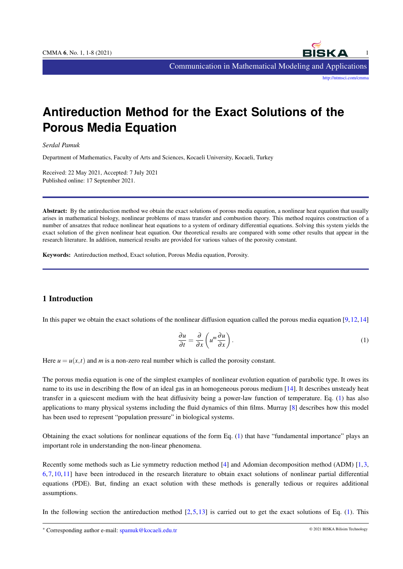

<http://ntmsci.com/cmma>

# **Antireduction Method for the Exact Solutions of the Porous Media Equation**

*Serdal Pamuk*

Department of Mathematics, Faculty of Arts and Sciences, Kocaeli University, Kocaeli, Turkey

Received: 22 May 2021, Accepted: 7 July 2021 Published online: 17 September 2021.

Abstract: By the antireduction method we obtain the exact solutions of porous media equation, a nonlinear heat equation that usually arises in mathematical biology, nonlinear problems of mass transfer and combustion theory. This method requires construction of a number of ansatzes that reduce nonlinear heat equations to a system of ordinary differential equations. Solving this system yields the exact solution of the given nonlinear heat equation. Our theoretical results are compared with some other results that appear in the research literature. In addition, numerical results are provided for various values of the porosity constant.

Keywords: Antireduction method, Exact solution, Porous Media equation, Porosity.

## 1 Introduction

In this paper we obtain the exact solutions of the nonlinear diffusion equation called the porous media equation [\[9,](#page-7-0)[12,](#page-7-1)[14\]](#page-7-2)

<span id="page-0-0"></span>
$$
\frac{\partial u}{\partial t} = \frac{\partial}{\partial x} \left( u^m \frac{\partial u}{\partial x} \right). \tag{1}
$$

Here  $u = u(x, t)$  and *m* is a non-zero real number which is called the porosity constant.

The porous media equation is one of the simplest examples of nonlinear evolution equation of parabolic type. It owes its name to its use in describing the flow of an ideal gas in an homogeneous porous medium [\[14\]](#page-7-2). It describes unsteady heat transfer in a quiescent medium with the heat diffusivity being a power-law function of temperature. Eq. [\(1\)](#page-0-0) has also applications to many physical systems including the fluid dynamics of thin films. Murray [\[8\]](#page-7-3) describes how this model has been used to represent "population pressure" in biological systems.

Obtaining the exact solutions for nonlinear equations of the form Eq. [\(1\)](#page-0-0) that have "fundamental importance" plays an important role in understanding the non-linear phenomena.

Recently some methods such as Lie symmetry reduction method [\[4\]](#page-7-4) and Adomian decomposition method (ADM) [\[1,](#page-7-5)[3,](#page-7-6) [6,](#page-7-7)[7,](#page-7-8)[10,](#page-7-9)[11\]](#page-7-10) have been introduced in the research literature to obtain exact solutions of nonlinear partial differential equations (PDE). But, finding an exact solution with these methods is generally tedious or requires additional assumptions.

In the following section the antireduction method  $[2,5,13]$  $[2,5,13]$  $[2,5,13]$  is carried out to get the exact solutions of Eq. [\(1\)](#page-0-0). This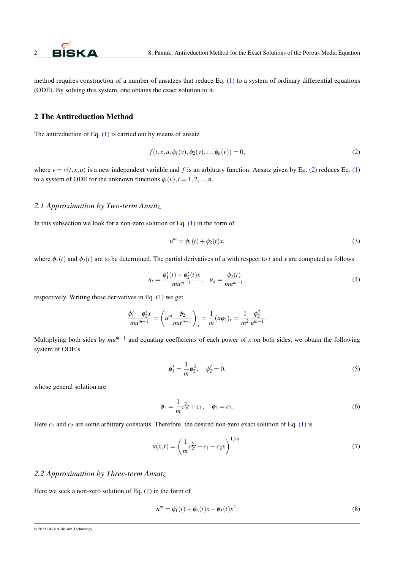

method requires construction of a number of ansatzes that reduce Eq. [\(1\)](#page-0-0) to a system of ordinary differential equations (ODE). By solving this system, one obtains the exact solution to it.

## 2 The Antireduction Method

The antireduction of Eq.  $(1)$  is carried out by means of ansatz

<span id="page-1-0"></span>
$$
f(t, x, u, \phi_1(v), \phi_2(v), ..., \phi_n(v)) = 0,
$$
\n(2)

where  $v = v(t, x, u)$  is a new independent variable and f is an arbitrary function. Ansatz given by Eq. [\(2\)](#page-1-0) reduces Eq. [\(1\)](#page-0-0) to a system of ODE for the unknown functions  $\phi_i(v)$ ,  $i = 1, 2, ..., n$ .

#### *2.1 Approximation by Two-term Ansatz*

In this subsection we look for a non-zero solution of Eq.  $(1)$  in the form of

$$
u^{m} = \phi_1(t) + \phi_2(t)x,
$$
 (3)

where  $\phi_1(t)$  and  $\phi_2(t)$  are to be determined. The partial derivatives of *u* with respect to *t* and *x* are computed as follows

$$
u_t = \frac{\phi_1'(t) + \phi_2'(t)x}{mu^{m-1}}, \quad u_x = \frac{\phi_2(t)}{mu^{m-1}},
$$
\n(4)

respectively. Writing these derivatives in Eq. [\(1\)](#page-0-0) we get

$$
\frac{\phi_1' + \phi_2' x}{m u^{m-1}} = \left(u^m \frac{\phi_2}{m u^{m-1}}\right)_x = \frac{1}{m} (u \phi_2)_x = \frac{1}{m^2} \frac{\phi_2^2}{u^{m-1}}.
$$

Multiplying both sides by *mum*−<sup>1</sup> and equating coefficients of each power of *x* on both sides, we obtain the following system of ODE's

$$
\phi_1' = \frac{1}{m}\phi_2^2, \quad \phi_2' = 0,\tag{5}
$$

whose general solution are

<span id="page-1-1"></span>
$$
\phi_1 = \frac{1}{m}c_2^2 t + c_1, \quad \phi_2 = c_2.
$$
\n(6)

Here  $c_1$  and  $c_2$  are some arbitrary constants. Therefore, the desired non-zero exact solution of Eq. [\(1\)](#page-0-0) is

$$
u(x,t) = \left(\frac{1}{m}c_2^2t + c_1 + c_2x\right)^{1/m}.\tag{7}
$$

#### *2.2 Approximation by Three-term Ansatz*

Here we seek a non-zero solution of Eq.  $(1)$  in the form of

$$
u^m = \phi_1(t) + \phi_2(t)x + \phi_3(t)x^2,
$$
\n(8)

<sup>© 2021</sup> BISKA Bilisim Technology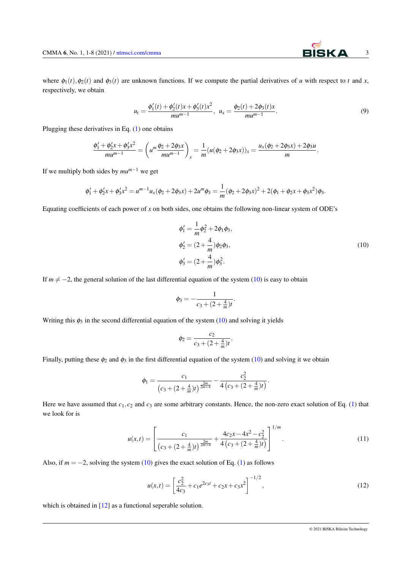where  $\phi_1(t), \phi_2(t)$  and  $\phi_3(t)$  are unknown functions. If we compute the partial derivatives of *u* with respect to *t* and *x*, respectively, we obtain

$$
u_t = \frac{\phi_1'(t) + \phi_2'(t)x + \phi_3'(t)x^2}{mu^{m-1}}, \ u_x = \frac{\phi_2(t) + 2\phi_3(t)x}{mu^{m-1}}.
$$
\n(9)

Plugging these derivatives in Eq. [\(1\)](#page-0-0) one obtains

$$
\frac{\phi_1' + \phi_2' x + \phi_3' x^2}{mu^{m-1}} = \left(u^m \frac{\phi_2 + 2\phi_3 x}{mu^{m-1}}\right)_x = \frac{1}{m} (u(\phi_2 + 2\phi_3 x))_x = \frac{u_x(\phi_2 + 2\phi_3 x) + 2\phi_3 u}{m}.
$$

If we multiply both sides by *mum*−<sup>1</sup> we get

$$
\phi_1' + \phi_2' x + \phi_3' x^2 = u^{m-1} u_x (\phi_2 + 2 \phi_3 x) + 2u^m \phi_3 = \frac{1}{m} (\phi_2 + 2 \phi_3 x)^2 + 2(\phi_1 + \phi_2 x + \phi_3 x^2) \phi_3.
$$

Equating coefficients of each power of *x* on both sides, one obtains the following non-linear system of ODE's

<span id="page-2-0"></span>
$$
\phi_1' = \frac{1}{m}\phi_2^2 + 2\phi_1\phi_3,\n\phi_2' = (2 + \frac{4}{m})\phi_2\phi_3,\n\phi_3' = (2 + \frac{4}{m})\phi_3^2.
$$
\n(10)

If  $m \neq -2$ , the general solution of the last differential equation of the system [\(10\)](#page-2-0) is easy to obtain

$$
\phi_3 = -\frac{1}{c_3 + (2 + \frac{4}{m})t}.
$$

Writing this  $\phi_3$  in the second differential equation of the system [\(10\)](#page-2-0) and solving it yields

<span id="page-2-1"></span>
$$
\phi_2 = \frac{c_2}{c_3 + (2 + \frac{4}{m})t}.
$$

Finally, putting these  $\phi_2$  and  $\phi_3$  in the first differential equation of the system [\(10\)](#page-2-0) and solving it we obtain

$$
\phi_1 = \frac{c_1}{\left(c_3 + (2 + \frac{4}{m})t\right)^{\frac{2m}{2m+4}}} - \frac{c_2^2}{4\left(c_3 + (2 + \frac{4}{m})t\right)}.
$$

Here we have assumed that  $c_1$ ,  $c_2$  and  $c_3$  are some arbitrary constants. Hence, the non-zero exact solution of Eq. [\(1\)](#page-0-0) that we look for is

$$
u(x,t) = \left[ \frac{c_1}{(c_3 + (2 + \frac{4}{m})t)^{\frac{2m}{2m+4}}} + \frac{4c_2x - 4x^2 - c_2^2}{4\left(c_3 + (2 + \frac{4}{m})t\right)} \right]^{1/m}.
$$
 (11)

Also, if  $m = -2$ , solving the system [\(10\)](#page-2-0) gives the exact solution of Eq. [\(1\)](#page-0-0) as follows

<span id="page-2-2"></span>
$$
u(x,t) = \left[\frac{c_2^2}{4c_3} + c_1e^{2c_3t} + c_2x + c_3x^2\right]^{-1/2},\tag{12}
$$

which is obtained in [\[12\]](#page-7-1) as a functional seperable solution.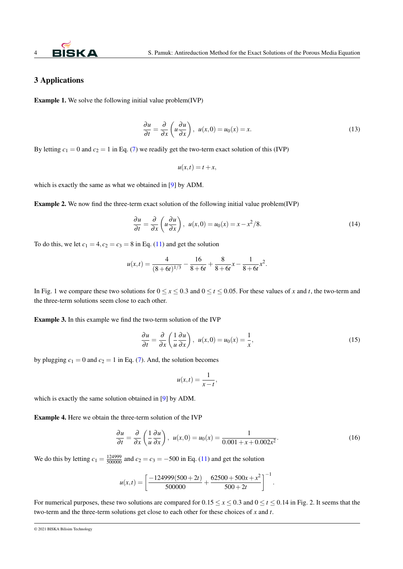

#### 3 Applications

Example 1. We solve the following initial value problem(IVP)

$$
\frac{\partial u}{\partial t} = \frac{\partial}{\partial x} \left( u \frac{\partial u}{\partial x} \right), \ u(x,0) = u_0(x) = x. \tag{13}
$$

By letting  $c_1 = 0$  and  $c_2 = 1$  in Eq. [\(7\)](#page-1-1) we readily get the two-term exact solution of this (IVP)

$$
u(x,t) = t + x,
$$

which is exactly the same as what we obtained in [\[9\]](#page-7-0) by ADM.

Example 2. We now find the three-term exact solution of the following initial value problem(IVP)

$$
\frac{\partial u}{\partial t} = \frac{\partial}{\partial x} \left( u \frac{\partial u}{\partial x} \right), \ u(x,0) = u_0(x) = x - x^2/8. \tag{14}
$$

To do this, we let  $c_1 = 4$ ,  $c_2 = c_3 = 8$  in Eq. [\(11\)](#page-2-1) and get the solution

$$
u(x,t) = \frac{4}{(8+6t)^{1/3}} - \frac{16}{8+6t} + \frac{8}{8+6t}x - \frac{1}{8+6t}x^{2}.
$$

In Fig. 1 we compare these two solutions for  $0 \le x \le 0.3$  and  $0 \le t \le 0.05$ . For these values of *x* and *t*, the two-term and the three-term solutions seem close to each other.

Example 3. In this example we find the two-term solution of the IVP

$$
\frac{\partial u}{\partial t} = \frac{\partial}{\partial x} \left( \frac{1}{u} \frac{\partial u}{\partial x} \right), \ u(x,0) = u_0(x) = \frac{1}{x}, \tag{15}
$$

by plugging  $c_1 = 0$  and  $c_2 = 1$  in Eq. [\(7\)](#page-1-1). And, the solution becomes

$$
u(x,t) = \frac{1}{x-t},
$$

which is exactly the same solution obtained in [\[9\]](#page-7-0) by ADM.

Example 4. Here we obtain the three-term solution of the IVP

$$
\frac{\partial u}{\partial t} = \frac{\partial}{\partial x} \left( \frac{1}{u} \frac{\partial u}{\partial x} \right), \ u(x,0) = u_0(x) = \frac{1}{0.001 + x + 0.002x^2}.
$$
 (16)

We do this by letting  $c_1 = \frac{124999}{500000}$  and  $c_2 = c_3 = -500$  in Eq. [\(11\)](#page-2-1) and get the solution

$$
u(x,t) = \left[\frac{-124999(500+2t)}{500000} + \frac{62500+500x+x^2}{500+2t}\right]^{-1}.
$$

For numerical purposes, these two solutions are compared for  $0.15 \le x \le 0.3$  and  $0 \le t \le 0.14$  in Fig. 2. It seems that the two-term and the three-term solutions get close to each other for these choices of *x* and *t*.

<sup>© 2021</sup> BISKA Bilisim Technology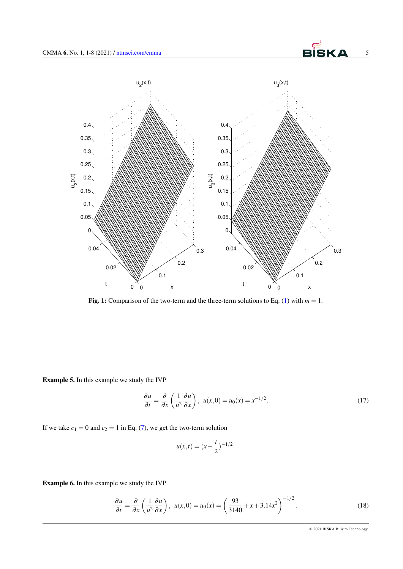



Fig. 1: Comparison of the two-term and the three-term solutions to Eq. [\(1\)](#page-0-0) with  $m = 1$ .

Example 5. In this example we study the IVP

$$
\frac{\partial u}{\partial t} = \frac{\partial}{\partial x} \left( \frac{1}{u^2} \frac{\partial u}{\partial x} \right), \ u(x,0) = u_0(x) = x^{-1/2}.
$$
 (17)

If we take  $c_1 = 0$  and  $c_2 = 1$  in Eq. [\(7\)](#page-1-1), we get the two-term solution

$$
u(x,t) = (x - \frac{t}{2})^{-1/2}
$$

Example 6. In this example we study the IVP

$$
\frac{\partial u}{\partial t} = \frac{\partial}{\partial x} \left( \frac{1}{u^2} \frac{\partial u}{\partial x} \right), \ u(x,0) = u_0(x) = \left( \frac{93}{3140} + x + 3.14x^2 \right)^{-1/2}.
$$
 (18)

.

© 2021 BISKA Bilisim Technology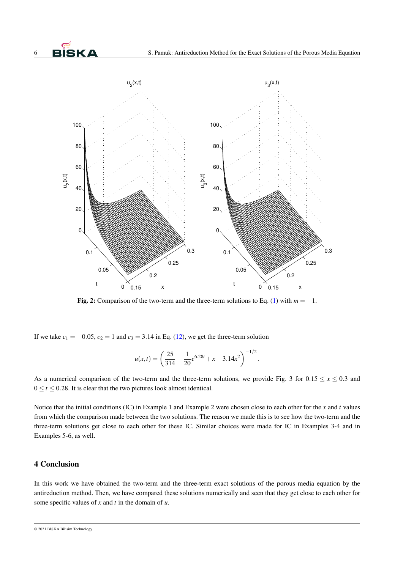

Fig. 2: Comparison of the two-term and the three-term solutions to Eq. [\(1\)](#page-0-0) with  $m = -1$ .

If we take  $c_1 = -0.05$ ,  $c_2 = 1$  and  $c_3 = 3.14$  in Eq. [\(12\)](#page-2-2), we get the three-term solution

$$
u(x,t) = \left(\frac{25}{314} - \frac{1}{20}e^{6.28t} + x + 3.14x^2\right)^{-1/2}.
$$

As a numerical comparison of the two-term and the three-term solutions, we provide Fig. 3 for  $0.15 \le x \le 0.3$  and  $0 \le t \le 0.28$ . It is clear that the two pictures look almost identical.

Notice that the initial conditions (IC) in Example 1 and Example 2 were chosen close to each other for the *x* and *t* values from which the comparison made between the two solutions. The reason we made this is to see how the two-term and the three-term solutions get close to each other for these IC. Similar choices were made for IC in Examples 3-4 and in Examples 5-6, as well.

## 4 Conclusion

In this work we have obtained the two-term and the three-term exact solutions of the porous media equation by the antireduction method. Then, we have compared these solutions numerically and seen that they get close to each other for some specific values of *x* and *t* in the domain of *u*.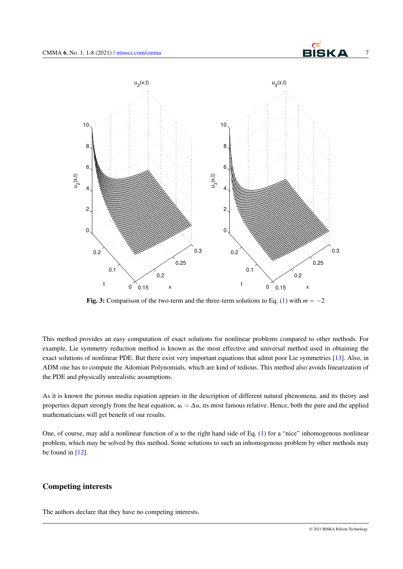

Fig. 3: Comparison of the two-term and the three-term solutions to Eq. [\(1\)](#page-0-0) with  $m = -2$ 

This method provides an easy computation of exact solutions for nonlinear problems compared to other methods. For example, Lie symmetry reduction method is known as the most effective and universal method used in obtaining the exact solutions of nonlinear PDE. But there exist very important equations that admit poor Lie symmetries [\[13\]](#page-7-13). Also, in ADM one has to compute the Adomian Polynomials, which are kind of tedious. This method also avoids linearization of the PDE and physically unrealistic assumptions.

As it is known the porous media equation appears in the description of different natural phenomena, and its theory and properties depart strongly from the heat equation,  $u_t = \Delta u$ , its most famous relative. Hence, both the pure and the applied mathematicians will get benefit of our results.

One, of course, may add a nonlinear function of *u* to the right hand side of Eq. [\(1\)](#page-0-0) for a "nice" inhomogenous nonlinear problem, which may be solved by this method. Some solutions to such an inhomogenous problem by other methods may be found in  $[12]$ .

# Competing interests

The authors declare that they have no competing interests.